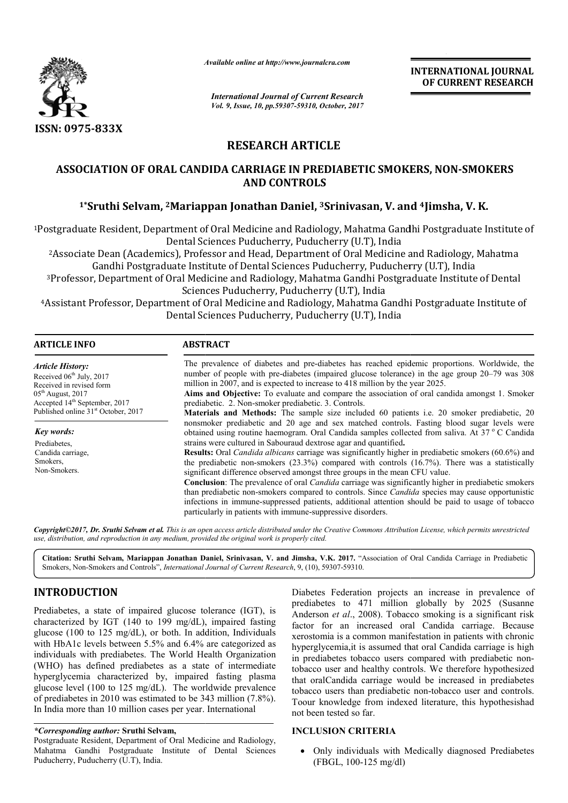

*Available online at http://www.journal http://www.journalcra.com*

*International Journal of Current Research Vol. 9, Issue, 10, pp.59307-59310, October, 2017* **INTERNATIONAL JOURNAL OF CURRENT RESEARCH** 

# **RESEARCH ARTICLE**

## ASSOCIATION OF ORAL CANDIDA CARRIAGE IN PREDIABETIC SMOKERS, NON-SMOKERS **AND CONTROLS**

## **1\*Sruthi Selvam, 2Mariappan Jonathan Daniel, Mariappan 3Srinivasan, V. and Srinivasan, 4Jimsha, V. K.**

<sup>1</sup>Postgraduate Resident, Department of Oral Medicine and Radiology, Mahatma Gandhi Postgraduate Institute of<br>Dental Sciences Puducherry, Puducherry (U.T), India<br><sup>2</sup>Associate Dean (Academics), Professor and Head, Departmen Dental Sciences Puducherry, Puducherry (U.T), India

2Associate Dean (Academics), Professor and Head, Department of Oral Medicine and Radiology, Mahat Gandhi Postgraduate Institute of Dental Sciences Puducherry, Puducherry (U.T), India

3Professor, Department of Oral Medicine and Radiology, Mahatma Gandhi Postgraduate Institute of Dental Sciences Puducherry, Puducherry (U.T), India Gandhi Postgraduate Institute of Dental Sciences Puducherry, Puducherry (U.T), India<br>3Professor, Department of Oral Medicine and Radiology, Mahatma Gandhi Postgraduate Institute of Dental<br>4Assistant Professor, Department o Associate Dean (Academics), Professor and Head, Department of Oral Med<br>Gandhi Postgraduate Institute of Dental Sciences Puducherry, Puc<br>Professor, Department of Oral Medicine and Radiology, Mahatma Gandhi Po<br>Sciences Puduc

Dental Sciences Puducherry, Puducherry (U.T), India

| <b>ARTICLE INFO</b>                                                                         | <b>ABSTRACT</b>                                                                                                                                                                                                                                                                                                                                                                                   |
|---------------------------------------------------------------------------------------------|---------------------------------------------------------------------------------------------------------------------------------------------------------------------------------------------------------------------------------------------------------------------------------------------------------------------------------------------------------------------------------------------------|
| <b>Article History:</b><br>Received 06 <sup>th</sup> July, 2017<br>Received in revised form | The prevalence of diabetes and pre-diabetes has reached epidemic proportions. Worldwide, the<br>number of people with pre-diabetes (impaired glucose tolerance) in the age group 20–79 was 308<br>million in 2007, and is expected to increase to 418 million by the year 2025.                                                                                                                   |
| $05th$ August, 2017<br>Accepted 14 <sup>th</sup> September, 2017                            | Aims and Objective: To evaluate and compare the association of oral candida amongst 1. Smoker<br>prediabetic. 2. Non-smoker prediabetic. 3. Controls.                                                                                                                                                                                                                                             |
| Published online 31 <sup>st</sup> October, 2017                                             | <b>Materials and Methods:</b> The sample size included 60 patients i.e. 20 smoker prediabetic, 20                                                                                                                                                                                                                                                                                                 |
| Key words:                                                                                  | nonsmoker prediabetic and 20 age and sex matched controls. Fasting blood sugar levels were<br>obtained using routine haemogram. Oral Candida samples collected from saliva. At 37 °C Candida                                                                                                                                                                                                      |
| Prediabetes,                                                                                | strains were cultured in Sabouraud dextrose agar and quantified.                                                                                                                                                                                                                                                                                                                                  |
| Candida carriage,<br>Smokers,<br>Non-Smokers.                                               | <b>Results:</b> Oral <i>Candida albicans</i> carriage was significantly higher in prediabetic smokers (60.6%) and<br>the prediabetic non-smokers $(23.3\%)$ compared with controls $(16.7\%)$ . There was a statistically<br>significant difference observed amongst three groups in the mean CFU value.                                                                                          |
|                                                                                             | <b>Conclusion</b> : The prevalence of oral <i>Candida</i> carriage was significantly higher in prediabetic smokers<br>than prediabetic non-smokers compared to controls. Since <i>Candida</i> species may cause opportunistic<br>infections in immune-suppressed patients, additional attention should be paid to usage of tobacco<br>particularly in patients with immune-suppressive disorders. |

*Copyright©2017, Dr. Sruthi Selvam et al. This is an open access article distributed under the Creative Commons Att Attribution License, which ribution License, permits unrestricted use, distribution, and reproduction in any medium, provided the original work is properly cited.*

Citation: Sruthi Selvam, Mariappan Jonathan Daniel, Srinivasan, V. and Jimsha, V.K. 2017. "Association of Oral Candida Carriage in Prediabetic Smokers, Non-Smokers and Controls", *International Journal of Current Research*, 9, (10), 59307-59310.

# **INTRODUCTION**

Prediabetes, a state of impaired glucose tolerance (IGT), is characterized by IGT (140 to 199 mg/dL), impaired fasting glucose (100 to 125 mg/dL), or both. In addition, Individuals with HbA1c levels between 5.5% and 6.4% are categorized as individuals with prediabetes. The World Health Organization (WHO) has defined prediabetes as a state of intermediate hyperglycemia characterized by, impaired fasting plasma glucose level (100 to 125 mg/dL). The worldwide prevalence of prediabetes in 2010 was estimated to be 343 million (7.8%). In India more than 10 million cases per year. International

### *\*Corresponding author:* **Sruthi Selvam,**

Postgraduate Resident, Department of Oral Medicine and Radiology, Mahatma Gandhi Postgraduate Institute of Dental Sciences Puducherry, Puducherry (U.T), India.

**ICTION**<br> **EXELUSION** Diabetes Federation projects an increase in prevalence of<br>
a state of impaired glucose tolerance (IGT), is<br>
Anderson *et al.*, 2008). Tobacco smoking is a significant risk<br>
b to 125 mg/dL) or both. I prediabetes to 471 million globally by 2025 (Susanne Anderson *et al*., 2008). Tobacco smoking is a significant risk factor for an increased oral Candida carriage. Because xerostomia is a common manifestation in patients with chronic hyperglycemia,it is assumed that oral Candida carriage is high in prediabetes tobacco users compared with prediabetic nontobacco user and healthy controls. We therefore hypothesized that oralCandida carriage would be increased in prediabetes that oralCandida carriage would be increased in prediabetes tobacco users than prediabetic non-tobacco user and controls. Toour knowledge from indexed literature, this hypothesishad not been tested so far. Diabetes Federation projects an increase in prevalence of In increased oral Candida carriage. Because<br>a common manifestation in patients with chronic<br>a,it is assumed that oral Candida carriage is high<br>is tobacco users compared with prediabetic non-

## **INCLUSION CRITERIA**

 Only individuals with Medically diagnosed Prediabetes (FBGL, 100-125 mg/dl)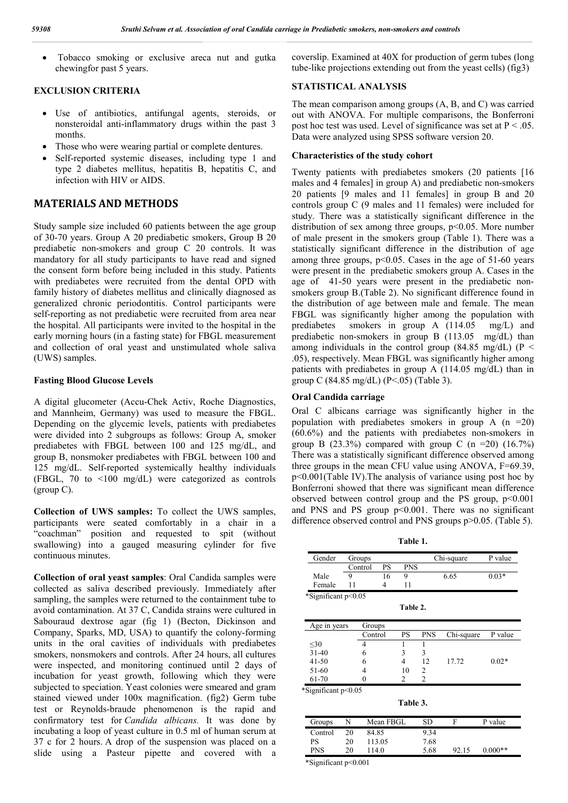Tobacco smoking or exclusive areca nut and gutka chewingfor past 5 years.

## **EXCLUSION CRITERIA**

- Use of antibiotics, antifungal agents, steroids, or nonsteroidal anti-inflammatory drugs within the past 3 months.
- Those who were wearing partial or complete dentures.
- Self-reported systemic diseases, including type 1 and type 2 diabetes mellitus, hepatitis B, hepatitis C, and infection with HIV or AIDS.

## **MATERIALS AND METHODS**

Study sample size included 60 patients between the age group of 30-70 years. Group A 20 prediabetic smokers, Group B 20 prediabetic non-smokers and group C 20 controls. It was mandatory for all study participants to have read and signed the consent form before being included in this study. Patients with prediabetes were recruited from the dental OPD with family history of diabetes mellitus and clinically diagnosed as generalized chronic periodontitis. Control participants were self-reporting as not prediabetic were recruited from area near the hospital. All participants were invited to the hospital in the early morning hours (in a fasting state) for FBGL measurement and collection of oral yeast and unstimulated whole saliva (UWS) samples.

## **Fasting Blood Glucose Levels**

A digital glucometer (Accu-Chek Activ, Roche Diagnostics, and Mannheim, Germany) was used to measure the FBGL. Depending on the glycemic levels, patients with prediabetes were divided into 2 subgroups as follows: Group A, smoker prediabetes with FBGL between 100 and 125 mg/dL, and group B, nonsmoker prediabetes with FBGL between 100 and 125 mg/dL. Self-reported systemically healthy individuals (FBGL, 70 to <100 mg/dL) were categorized as controls (group C).

**Collection of UWS samples:** To collect the UWS samples, participants were seated comfortably in a chair in a "coachman" position and requested to spit (without swallowing) into a gauged measuring cylinder for five continuous minutes.

**Collection of oral yeast samples**: Oral Candida samples were collected as saliva described previously. Immediately after sampling, the samples were returned to the containment tube to avoid contamination. At 37 C, Candida strains were cultured in Sabouraud dextrose agar (fig 1) (Becton, Dickinson and Company, Sparks, MD, USA) to quantify the colony-forming units in the oral cavities of individuals with prediabetes smokers, nonsmokers and controls. After 24 hours, all cultures were inspected, and monitoring continued until 2 days of incubation for yeast growth, following which they were subjected to speciation. Yeast colonies were smeared and gram stained viewed under 100x magnification. (fig2) Germ tube test or Reynolds-braude phenomenon is the rapid and confirmatory test for *Candida albicans.* It was done by incubating a loop of yeast culture in 0.5 ml of human serum at 37 c for 2 hours. A drop of the suspension was placed on a slide using a Pasteur pipette and covered with a

coverslip. Examined at 40X for production of germ tubes (long tube-like projections extending out from the yeast cells) (fig3)

### **STATISTICAL ANALYSIS**

The mean comparison among groups (A, B, and C) was carried out with ANOVA. For multiple comparisons, the Bonferroni post hoc test was used. Level of significance was set at  $P < 0.05$ . Data were analyzed using SPSS software version 20.

#### **Characteristics of the study cohort**

Twenty patients with prediabetes smokers (20 patients [16 males and 4 females] in group A) and prediabetic non-smokers 20 patients [9 males and 11 females] in group B and 20 controls group C (9 males and 11 females) were included for study. There was a statistically significant difference in the distribution of sex among three groups,  $p<0.05$ . More number of male present in the smokers group (Table 1). There was a statistically significant difference in the distribution of age among three groups,  $p<0.05$ . Cases in the age of 51-60 years were present in the prediabetic smokers group A. Cases in the age of 41-50 years were present in the prediabetic nonsmokers group B.(Table 2). No significant difference found in the distribution of age between male and female. The mean FBGL was significantly higher among the population with prediabetes smokers in group A (114.05 mg/L) and prediabetic non-smokers in group B (113.05 mg/dL) than among individuals in the control group (84.85 mg/dL) ( $P \le$ .05), respectively. Mean FBGL was significantly higher among patients with prediabetes in group A (114.05 mg/dL) than in group C (84.85 mg/dL) (P<.05) (Table 3).

#### **Oral Candida carriage**

Oral C albicans carriage was significantly higher in the population with prediabetes smokers in group A  $(n = 20)$ (60.6%) and the patients with prediabetes non-smokers in group B  $(23.3\%)$  compared with group C  $(n = 20)$   $(16.7\%)$ There was a statistically significant difference observed among three groups in the mean CFU value using ANOVA, F=69.39, p<0.001(Table IV).The analysis of variance using post hoc by Bonferroni showed that there was significant mean difference observed between control group and the PS group,  $p<0.001$ and PNS and PS group  $p<0.001$ . There was no significant difference observed control and PNS groups p>0.05. (Table 5).

**Table 1.** Gender Groups Chi-square P value

|                     | Control |         | PS        | <b>PNS</b> |                |            |         |
|---------------------|---------|---------|-----------|------------|----------------|------------|---------|
| Male                | 9       |         | 16        | 9          |                | 6.65       | $0.03*$ |
| Female              | 11      |         | 4         | 11         |                |            |         |
| *Significant p<0.05 |         |         |           |            |                |            |         |
|                     |         |         |           | Table 2.   |                |            |         |
| Age in years        |         | Groups  |           |            |                |            |         |
|                     |         | Control |           | PS         | <b>PNS</b>     | Chi-square | P value |
| $30$                |         | 4       |           | 1          | 1              |            |         |
| $31 - 40$           |         | 6       |           | 3          | 3              |            |         |
| $41 - 50$           |         | 6       |           | 4          | 12             | 17.72      | $0.02*$ |
| 51-60               |         | 4       |           | 10         | 2              |            |         |
| 61-70               |         | 0       |           | 2          | $\overline{2}$ |            |         |
| *Significant p<0.05 |         |         |           |            |                |            |         |
|                     |         |         |           | Table 3.   |                |            |         |
| Groups              | N       |         | Mean FBGL |            | SD             | F          | P value |
| Control             | 20      | 84.85   |           |            | 9.34           |            |         |
|                     |         |         |           |            | $ -$           |            |         |

92.15 0.000\*\* PS 20 113.05 7.68<br>PNS 20 114.0 5.68 PNS 20 114.0 5.68

\*Significant p<0.001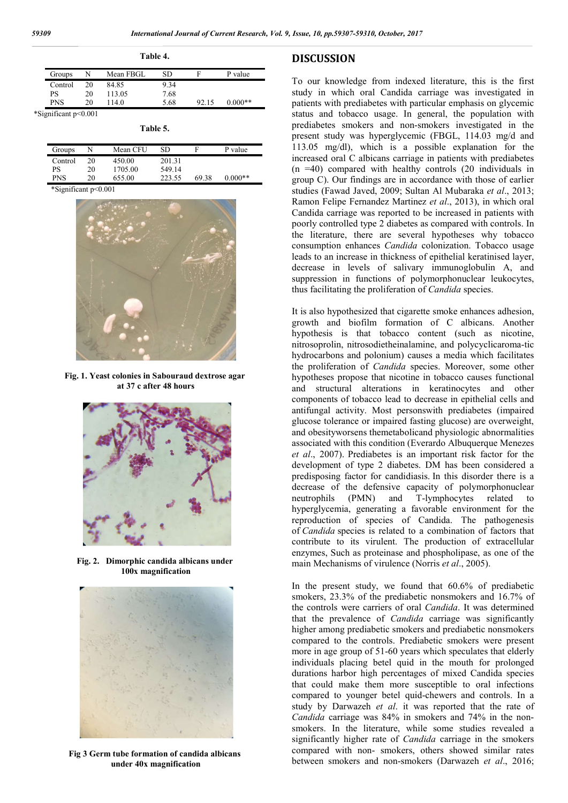|                      |         |    |           | 1 аріс 4. |       |           |  |
|----------------------|---------|----|-----------|-----------|-------|-----------|--|
|                      | Groups  |    | Mean FBGL | SD        | Е     | P value   |  |
|                      | Control | 20 | 84.85     | 9.34      |       |           |  |
| PS                   |         | 20 | 113.05    | 7.68      |       |           |  |
| <b>PNS</b>           |         | 20 | 114.0     | 5.68      | 92.15 | $0.000**$ |  |
| *Significant p<0.001 |         |    |           |           |       |           |  |

**Table 4.**

**Table 5.**

| Groups     |    | Mean CFU | SD     | Е     | P value   |
|------------|----|----------|--------|-------|-----------|
| Control    | 20 | 450.00   | 20131  |       |           |
| PS         | 20 | 1705.00  | 549.14 |       |           |
| <b>PNS</b> | 20 | 655.00   | 223.55 | 69.38 | $0.000**$ |
|            |    |          |        |       |           |

\*Significant p<0.001



**Fig. 1. Yeast colonies in Sabouraud dextrose agar at 37 c after 48 hours**



**Fig. 2. Dimorphic candida albicans under 100x magnification**



**Fig 3 Germ tube formation of candida albicans under 40x magnification**

## **DISCUSSION**

To our knowledge from indexed literature, this is the first study in which oral Candida carriage was investigated in patients with prediabetes with particular emphasis on glycemic status and tobacco usage. In general, the population with prediabetes smokers and non-smokers investigated in the present study was hyperglycemic (FBGL, 114.03 mg/d and 113.05 mg/dl), which is a possible explanation for the increased oral C albicans carriage in patients with prediabetes (n =40) compared with healthy controls (20 individuals in group C). Our findings are in accordance with those of earlier studies (Fawad Javed, 2009; Sultan Al Mubaraka *et al*., 2013; Ramon Felipe Fernandez Martinez *et al*., 2013), in which oral Candida carriage was reported to be increased in patients with poorly controlled type 2 diabetes as compared with controls. In the literature, there are several hypotheses why tobacco consumption enhances *Candida* colonization. Tobacco usage leads to an increase in thickness of epithelial keratinised layer, decrease in levels of salivary immunoglobulin A, and suppression in functions of polymorphonuclear leukocytes, thus facilitating the proliferation of *Candida* species.

It is also hypothesized that cigarette smoke enhances adhesion, growth and biofilm formation of C albicans. Another hypothesis is that tobacco content (such as nicotine, nitrosoprolin, nitrosodietheinalamine, and polycyclicaroma-tic hydrocarbons and polonium) causes a media which facilitates the proliferation of *Candida* species. Moreover, some other hypotheses propose that nicotine in tobacco causes functional and structural alterations in keratinocytes and other components of tobacco lead to decrease in epithelial cells and antifungal activity. Most personswith prediabetes (impaired glucose tolerance or impaired fasting glucose) are overweight, and obesityworsens themetabolicand physiologic abnormalities associated with this condition (Everardo Albuquerque Menezes *et al*., 2007). Prediabetes is an important risk factor for the development of type 2 diabetes. DM has been considered a predisposing factor for candidiasis. In this disorder there is a decrease of the defensive capacity of polymorphonuclear neutrophils (PMN) and T-lymphocytes related to hyperglycemia, generating a favorable environment for the reproduction of species of Candida. The pathogenesis of *Candida* species is related to a combination of factors that contribute to its virulent. The production of extracellular enzymes, Such as proteinase and phospholipase, as one of the main Mechanisms of virulence (Norris *et al*., 2005).

In the present study, we found that 60.6% of prediabetic smokers, 23.3% of the prediabetic nonsmokers and 16.7% of the controls were carriers of oral *Candida*. It was determined that the prevalence of *Candida* carriage was significantly higher among prediabetic smokers and prediabetic nonsmokers compared to the controls. Prediabetic smokers were present more in age group of 51-60 years which speculates that elderly individuals placing betel quid in the mouth for prolonged durations harbor high percentages of mixed Candida species that could make them more susceptible to oral infections compared to younger betel quid-chewers and controls. In a study by Darwazeh *et al*. it was reported that the rate of *Candida* carriage was 84% in smokers and 74% in the nonsmokers. In the literature, while some studies revealed a significantly higher rate of *Candida* carriage in the smokers compared with non- smokers, others showed similar rates between smokers and non-smokers (Darwazeh *et al*., 2016;